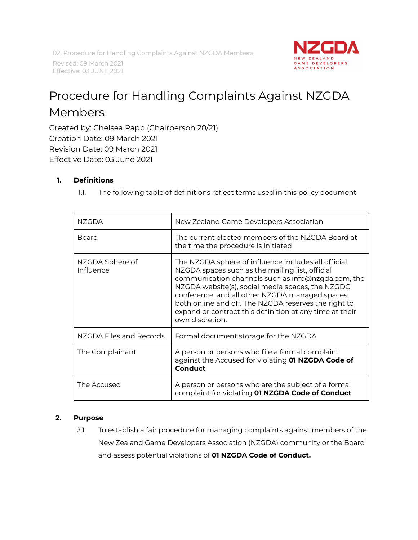02. Procedure for Handling Complaints Against NZGDA Members

Revised: 09 March 2021 Effective: 03 JUNE 2021



# Procedure for Handling Complaints Against NZGDA Members

Created by: Chelsea Rapp (Chairperson 20/21) Creation Date: 09 March 2021 Revision Date: 09 March 2021 Effective Date: 03 June 2021

# **1. Definitions**

1.1. The following table of definitions reflect terms used in this policy document.

| N7GDA                        | New Zealand Game Developers Association                                                                                                                                                                                                                                                                                                                                                                  |
|------------------------------|----------------------------------------------------------------------------------------------------------------------------------------------------------------------------------------------------------------------------------------------------------------------------------------------------------------------------------------------------------------------------------------------------------|
| Board                        | The current elected members of the NZGDA Board at<br>the time the procedure is initiated                                                                                                                                                                                                                                                                                                                 |
| NZGDA Sphere of<br>Influence | The NZGDA sphere of influence includes all official<br>NZGDA spaces such as the mailing list, official<br>communication channels such as info@nzgda.com, the<br>NZGDA website(s), social media spaces, the NZGDC<br>conference, and all other NZGDA managed spaces<br>both online and off. The NZGDA reserves the right to<br>expand or contract this definition at any time at their<br>own discretion. |
| NZGDA Files and Records      | Formal document storage for the NZGDA                                                                                                                                                                                                                                                                                                                                                                    |
| The Complainant              | A person or persons who file a formal complaint<br>against the Accused for violating 01 NZGDA Code of<br><b>Conduct</b>                                                                                                                                                                                                                                                                                  |
| The Accused                  | A person or persons who are the subject of a formal<br>complaint for violating 01 NZGDA Code of Conduct                                                                                                                                                                                                                                                                                                  |

#### **2. Purpose**

2.1. To establish a fair procedure for managing complaints against members of the New Zealand Game Developers Association (NZGDA) community or the Board and assess potential violations of **01 NZGDA Code of Conduct.**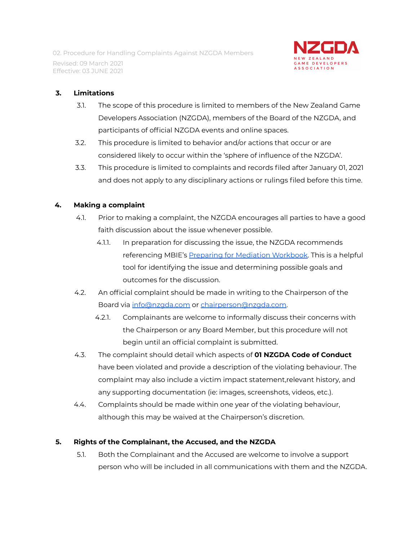

## **3. Limitations**

- 3.1. The scope of this procedure is limited to members of the New Zealand Game Developers Association (NZGDA), members of the Board of the NZGDA, and participants of official NZGDA events and online spaces.
- 3.2. This procedure is limited to behavior and/or actions that occur or are considered likely to occur within the 'sphere of influence of the NZGDA'.
- 3.3. This procedure is limited to complaints and records filed after January 01, 2021 and does not apply to any disciplinary actions or rulings filed before this time.

## **4. Making a complaint**

- 4.1. Prior to making a complaint, the NZGDA encourages all parties to have a good faith discussion about the issue whenever possible.
	- 4.1.1. In preparation for discussing the issue, the NZGDA recommends referencing MBIE's Preparing for Mediation [Workbook.](https://www.employment.govt.nz/assets/Uploads/tools-and-resources/publications/284276d11a/preparing-for-employment-mediation-workbook.pdf) This is a helpful tool for identifying the issue and determining possible goals and outcomes for the discussion.
- 4.2. An official complaint should be made in writing to the Chairperson of the Board via [info@nzgda.com](mailto:info@nzgda.com) or [chairperson@nzgda.com.](mailto:chairperson@nzgda.com)
	- 4.2.1. Complainants are welcome to informally discuss their concerns with the Chairperson or any Board Member, but this procedure will not begin until an official complaint is submitted.
- 4.3. The complaint should detail which aspects of **01 NZGDA Code of Conduct** have been violated and provide a description of the violating behaviour. The complaint may also include a victim impact statement,relevant history, and any supporting documentation (ie: images, screenshots, videos, etc.).
- 4.4. Complaints should be made within one year of the violating behaviour, although this may be waived at the Chairperson's discretion.

# **5. Rights of the Complainant, the Accused, and the NZGDA**

5.1. Both the Complainant and the Accused are welcome to involve a support person who will be included in all communications with them and the NZGDA.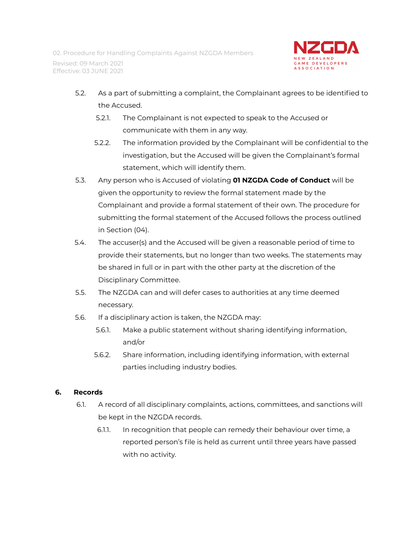

- 5.2. As a part of submitting a complaint, the Complainant agrees to be identified to the Accused.
	- 5.2.1. The Complainant is not expected to speak to the Accused or communicate with them in any way.
	- 5.2.2. The information provided by the Complainant will be confidential to the investigation, but the Accused will be given the Complainant's formal statement, which will identify them.
- 5.3. Any person who is Accused of violating **01 NZGDA Code of Conduct** will be given the opportunity to review the formal statement made by the Complainant and provide a formal statement of their own. The procedure for submitting the formal statement of the Accused follows the process outlined in Section (04).
- 5.4. The accuser(s) and the Accused will be given a reasonable period of time to provide their statements, but no longer than two weeks. The statements may be shared in full or in part with the other party at the discretion of the Disciplinary Committee.
- 5.5. The NZGDA can and will defer cases to authorities at any time deemed necessary.
- 5.6. If a disciplinary action is taken, the NZGDA may:
	- 5.6.1. Make a public statement without sharing identifying information, and/or
	- 5.6.2. Share information, including identifying information, with external parties including industry bodies.

# **6. Records**

- 6.1. A record of all disciplinary complaints, actions, committees, and sanctions will be kept in the NZGDA records.
	- 6.1.1. In recognition that people can remedy their behaviour over time, a reported person's file is held as current until three years have passed with no activity.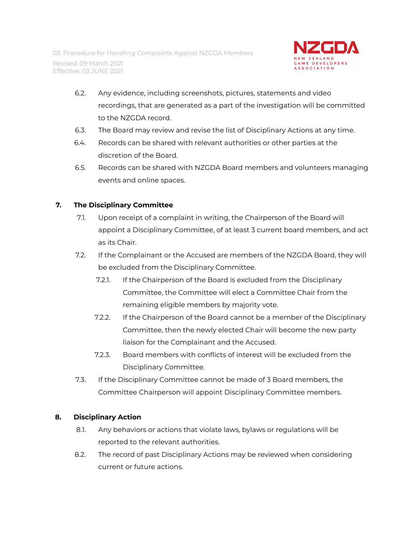

- 6.2. Any evidence, including screenshots, pictures, statements and video recordings, that are generated as a part of the investigation will be committed to the NZGDA record.
- 6.3. The Board may review and revise the list of Disciplinary Actions at any time.
- 6.4. Records can be shared with relevant authorities or other parties at the discretion of the Board.
- 6.5. Records can be shared with NZGDA Board members and volunteers managing events and online spaces.

## **7. The Disciplinary Committee**

- 7.1. Upon receipt of a complaint in writing, the Chairperson of the Board will appoint a Disciplinary Committee, of at least 3 current board members, and act as its Chair.
- 7.2. If the Complainant or the Accused are members of the NZGDA Board, they will be excluded from the Disciplinary Committee.
	- 7.2.1. If the Chairperson of the Board is excluded from the Disciplinary Committee, the Committee will elect a Committee Chair from the remaining eligible members by majority vote.
	- 7.2.2. If the Chairperson of the Board cannot be a member of the Disciplinary Committee, then the newly elected Chair will become the new party liaison for the Complainant and the Accused.
	- 7.2.3. Board members with conflicts of interest will be excluded from the Disciplinary Committee.
- 7.3. If the Disciplinary Committee cannot be made of 3 Board members, the Committee Chairperson will appoint Disciplinary Committee members.

#### **8. Disciplinary Action**

- 8.1. Any behaviors or actions that violate laws, bylaws or regulations will be reported to the relevant authorities.
- 8.2. The record of past Disciplinary Actions may be reviewed when considering current or future actions.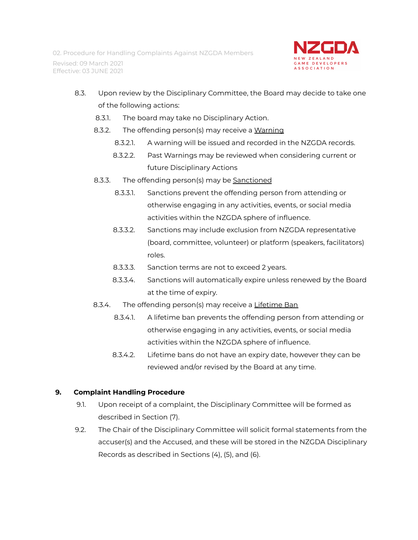

- 8.3. Upon review by the Disciplinary Committee, the Board may decide to take one of the following actions:
	- 8.3.1. The board may take no Disciplinary Action.
	- 8.3.2. The offending person(s) may receive a Warning
		- 8.3.2.1. A warning will be issued and recorded in the NZGDA records.
		- 8.3.2.2. Past Warnings may be reviewed when considering current or future Disciplinary Actions
	- 8.3.3. The offending person(s) may be Sanctioned
		- 8.3.3.1. Sanctions prevent the offending person from attending or otherwise engaging in any activities, events, or social media activities within the NZGDA sphere of influence.
		- 8.3.3.2. Sanctions may include exclusion from NZGDA representative (board, committee, volunteer) or platform (speakers, facilitators) roles.
		- 8.3.3.3. Sanction terms are not to exceed 2 years.
		- 8.3.3.4. Sanctions will automatically expire unless renewed by the Board at the time of expiry.
	- 8.3.4. The offending person(s) may receive a Lifetime Ban
		- 8.3.4.1. A lifetime ban prevents the offending person from attending or otherwise engaging in any activities, events, or social media activities within the NZGDA sphere of influence.
		- 8.3.4.2. Lifetime bans do not have an expiry date, however they can be reviewed and/or revised by the Board at any time.

# **9. Complaint Handling Procedure**

- 9.1. Upon receipt of a complaint, the Disciplinary Committee will be formed as described in Section (7).
- 9.2. The Chair of the Disciplinary Committee will solicit formal statements from the accuser(s) and the Accused, and these will be stored in the NZGDA Disciplinary Records as described in Sections (4), (5), and (6).